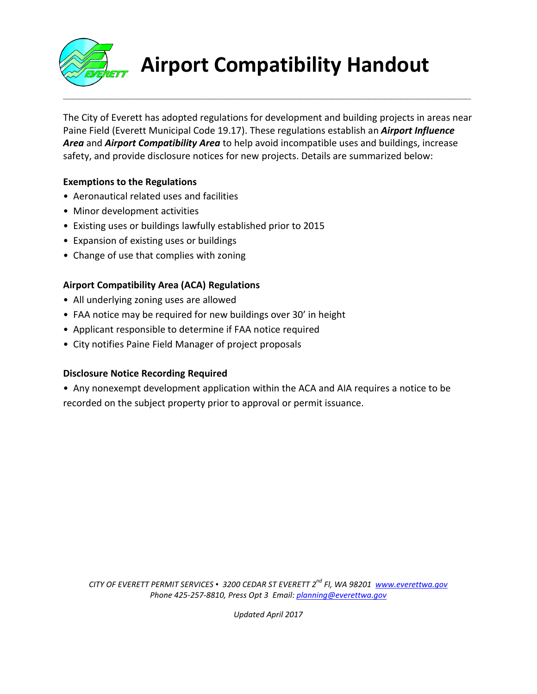

# **Airport Compatibility Handout**

The City of Everett has adopted regulations for development and building projects in areas near Paine Field (Everett Municipal Code 19.17). These regulations establish an *Airport Influence Area* and *Airport Compatibility Area* to help avoid incompatible uses and buildings, increase safety, and provide disclosure notices for new projects. Details are summarized below:

**\_\_\_\_\_\_\_\_\_\_\_\_\_\_\_\_\_\_\_\_\_\_\_\_\_\_\_\_\_\_\_\_\_\_\_\_\_\_\_\_\_\_\_\_\_\_\_\_\_\_\_\_\_\_\_\_\_\_\_\_\_\_\_\_\_\_\_\_\_\_\_\_\_\_\_\_**

## **Exemptions to the Regulations**

- Aeronautical related uses and facilities
- Minor development activities
- Existing uses or buildings lawfully established prior to 2015
- Expansion of existing uses or buildings
- Change of use that complies with zoning

## **Airport Compatibility Area (ACA) Regulations**

- All underlying zoning uses are allowed
- FAA notice may be required for new buildings over 30' in height
- Applicant responsible to determine if FAA notice required
- City notifies Paine Field Manager of project proposals

#### **Disclosure Notice Recording Required**

• Any nonexempt development application within the ACA and AIA requires a notice to be recorded on the subject property prior to approval or permit issuance.

*CITY OF EVERETT PERMIT SERVICES ▪ 3200 CEDAR ST EVERETT 2 nd Fl, WA 98201 www.everettwa.gov Phone 425-257-8810, Press Opt 3 Email: planning@everettwa.gov*

*Updated April 2017*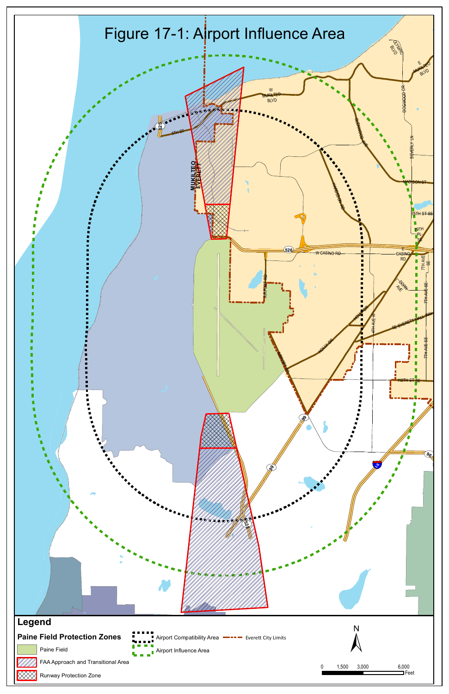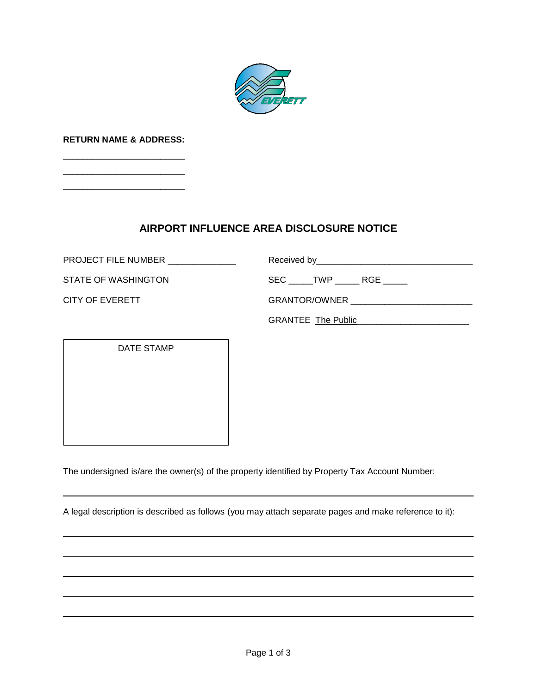

**RETURN NAME & ADDRESS:** \_\_\_\_\_\_\_\_\_\_\_\_\_\_\_\_\_\_\_\_\_\_\_\_\_

\_\_\_\_\_\_\_\_\_\_\_\_\_\_\_\_\_\_\_\_\_\_\_\_\_ \_\_\_\_\_\_\_\_\_\_\_\_\_\_\_\_\_\_\_\_\_\_\_\_\_

## **AIRPORT INFLUENCE AREA DISCLOSURE NOTICE**

PROJECT FILE NUMBER \_\_\_\_\_\_\_\_\_\_\_\_\_\_ Received by\_\_\_\_\_\_\_\_\_\_\_\_\_\_\_\_\_\_\_\_\_\_\_\_\_\_\_\_\_\_\_\_

STATE OF WASHINGTON SEC \_\_\_\_\_TWP \_\_\_\_\_\_ RGE \_\_\_\_\_

CITY OF EVERETT GRANTOR/OWNER \_\_\_\_\_\_\_\_\_\_\_\_\_\_\_\_\_\_\_\_\_\_\_\_\_

GRANTEE The Public\_\_\_\_\_\_\_\_\_\_\_\_\_\_\_\_\_\_\_\_\_\_\_

DATE STAMP

The undersigned is/are the owner(s) of the property identified by Property Tax Account Number:

A legal description is described as follows (you may attach separate pages and make reference to it):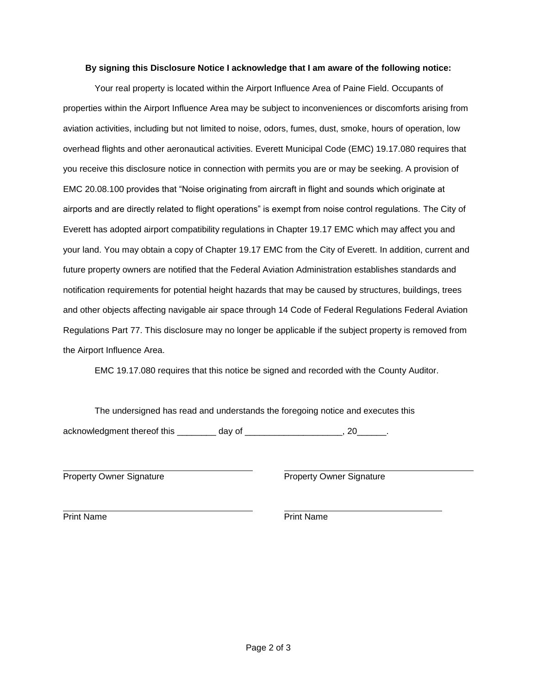#### **By signing this Disclosure Notice I acknowledge that I am aware of the following notice:**

Your real property is located within the Airport Influence Area of Paine Field. Occupants of properties within the Airport Influence Area may be subject to inconveniences or discomforts arising from aviation activities, including but not limited to noise, odors, fumes, dust, smoke, hours of operation, low overhead flights and other aeronautical activities. Everett Municipal Code (EMC) 19.17.080 requires that you receive this disclosure notice in connection with permits you are or may be seeking. A provision of EMC 20.08.100 provides that "Noise originating from aircraft in flight and sounds which originate at airports and are directly related to flight operations" is exempt from noise control regulations. The City of Everett has adopted airport compatibility regulations in Chapter 19.17 EMC which may affect you and your land. You may obtain a copy of Chapter 19.17 EMC from the City of Everett. In addition, current and future property owners are notified that the Federal Aviation Administration establishes standards and notification requirements for potential height hazards that may be caused by structures, buildings, trees and other objects affecting navigable air space through 14 Code of Federal Regulations Federal Aviation Regulations Part 77. This disclosure may no longer be applicable if the subject property is removed from the Airport Influence Area.

EMC 19.17.080 requires that this notice be signed and recorded with the County Auditor.

The undersigned has read and understands the foregoing notice and executes this acknowledgment thereof this \_\_\_\_\_\_\_\_ day of \_\_\_\_\_\_\_\_\_\_\_\_\_\_\_\_\_\_\_\_, 20\_\_\_\_\_\_.

Property Owner Signature **Property Owner Signature** Property Owner Signature

 Print Name **Print Name**